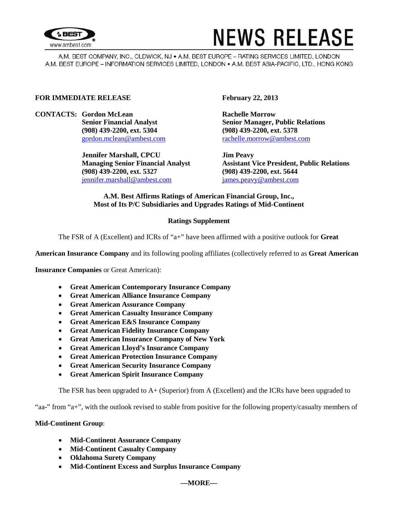

# **NEWS RELEASE**

A.M. BEST COMPANY, INC., OLDWICK, NJ . A.M. BEST EUROPE - RATING SERVICES LIMITED, LONDON A.M. BEST EUROPE - INFORMATION SERVICES LIMITED, LONDON . A.M. BEST ASIA-PACIFIC, LTD., HONG KONG

## **FOR IMMEDIATE RELEASE February 22, 2013**

**CONTACTS: Gordon McLean Rachelle Morrow (908) 439-2200, ext. 5304 (908) 439-2200, ext. 5378**

> **Jennifer Marshall, CPCU Jim Peavy (908) 439-2200, ext. 5327 (908) 439-2200, ext. 5644** [jennifer.marshall@ambest.com](mailto:jennifer.marshall@ambest.com) [james.peavy@ambest.com](mailto:james.peavy@ambest.com)

**Senior Financial Analyst Senior Manager, Public Relations** [gordon.mclean@ambest.com](mailto:gordon.mclean@ambest.com) [rachelle.morrow@ambest.com](mailto:rachelle.morrow@ambest.com)

**Managing Senior Financial Analyst Assistant Vice President, Public Relations**

# **A.M. Best Affirms Ratings of American Financial Group, Inc., Most of Its P/C Subsidiaries and Upgrades Ratings of Mid-Continent**

# **Ratings Supplement**

The FSR of A (Excellent) and ICRs of "a+" have been affirmed with a positive outlook for **Great** 

**American Insurance Company** and its following pooling affiliates (collectively referred to as **Great American** 

**Insurance Companies** or Great American):

- **Great American Contemporary Insurance Company**
- **Great American Alliance Insurance Company**
- **Great American Assurance Company**
- **Great American Casualty Insurance Company**
- **Great American E&S Insurance Company**
- **Great American Fidelity Insurance Company**
- **Great American Insurance Company of New York**
- **Great American Lloyd's Insurance Company**
- **Great American Protection Insurance Company**
- **Great American Security Insurance Company**
- **Great American Spirit Insurance Company**

The FSR has been upgraded to A+ (Superior) from A (Excellent) and the ICRs have been upgraded to

"aa-" from "a+", with the outlook revised to stable from positive for the following property/casualty members of

## **Mid-Continent Group**:

- **Mid-Continent Assurance Company**
- **Mid-Continent Casualty Company**
- **Oklahoma Surety Company**
- **Mid-Continent Excess and Surplus Insurance Company**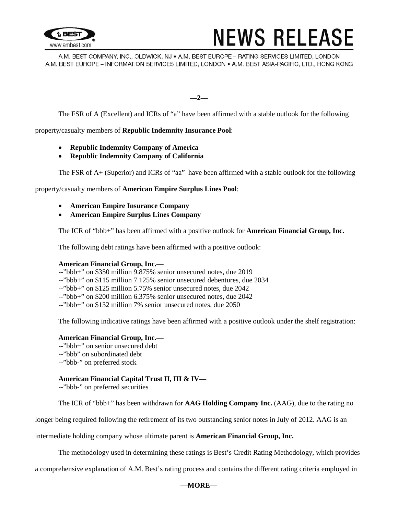

# **NEWS RELEASE**

A.M. BEST COMPANY, INC., OLDWICK, NJ . A.M. BEST EUROPE - RATING SERVICES LIMITED, LONDON A.M. BEST EUROPE - INFORMATION SERVICES LIMITED, LONDON . A.M. BEST ASIA-PACIFIC, LTD., HONG KONG

**—2—**

The FSR of A (Excellent) and ICRs of "a" have been affirmed with a stable outlook for the following

property/casualty members of **Republic Indemnity Insurance Pool**:

- **Republic Indemnity Company of America**
- **Republic Indemnity Company of California**

The FSR of A+ (Superior) and ICRs of "aa" have been affirmed with a stable outlook for the following

property/casualty members of **American Empire Surplus Lines Pool**:

- **American Empire Insurance Company**
- **American Empire Surplus Lines Company**

The ICR of "bbb+" has been affirmed with a positive outlook for **American Financial Group, Inc.**

The following debt ratings have been affirmed with a positive outlook:

#### **American Financial Group, Inc.—**

--"bbb+" on \$350 million 9.875% senior unsecured notes, due 2019 --"bbb+" on \$115 million 7.125% senior unsecured debentures, due 2034 --"bbb+" on \$125 million 5.75% senior unsecured notes, due 2042 --"bbb+" on \$200 million 6.375% senior unsecured notes, due 2042 --"bbb+" on \$132 million 7% senior unsecured notes, due 2050

The following indicative ratings have been affirmed with a positive outlook under the shelf registration:

#### **American Financial Group, Inc.—**

- --"bbb+" on senior unsecured debt --"bbb" on subordinated debt
- --"bbb-" on preferred stock

## **American Financial Capital Trust II, III & IV—**

--"bbb-" on preferred securities

The ICR of "bbb+" has been withdrawn for **AAG Holding Company Inc.** (AAG), due to the rating no

longer being required following the retirement of its two outstanding senior notes in July of 2012. AAG is an

intermediate holding company whose ultimate parent is **American Financial Group, Inc.**

The methodology used in determining these ratings is Best's Credit Rating Methodology, which provides

a comprehensive explanation of A.M. Best's rating process and contains the different rating criteria employed in